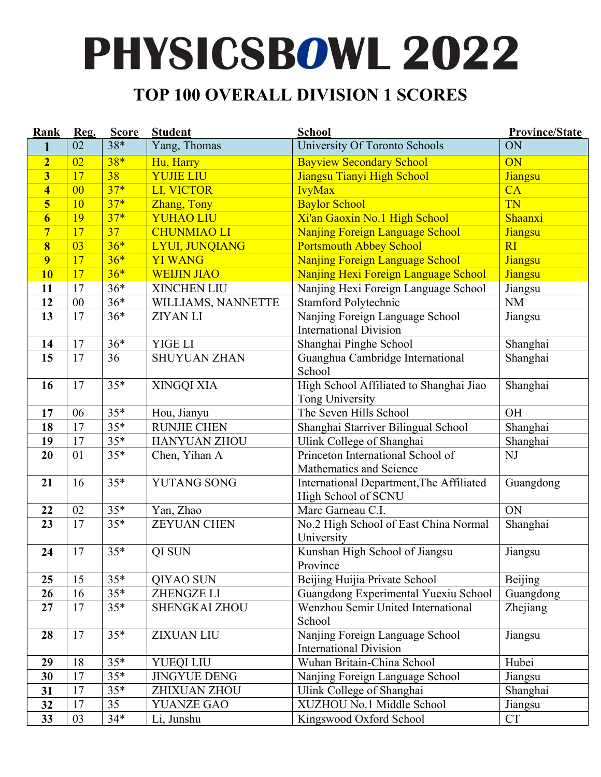#### **TOP 100 OVERALL DIVISION 1 SCORES**

| Rank                    | Reg.           | <b>Score</b>    | <b>Student</b>        | <b>School</b>                                                    | <b>Province/State</b> |
|-------------------------|----------------|-----------------|-----------------------|------------------------------------------------------------------|-----------------------|
| 1                       | 02             | $38*$           | Yang, Thomas          | University Of Toronto Schools                                    | ON                    |
| $\overline{2}$          | 02             | $38*$           | Hu, Harry             | <b>Bayview Secondary School</b>                                  | ON                    |
| $\overline{\mathbf{3}}$ | 17             | 38              | <b>YUJIE LIU</b>      | Jiangsu Tianyi High School                                       | Jiangsu               |
| $\overline{\mathbf{4}}$ | 0 <sup>0</sup> | $37*$           | LI, VICTOR            | <b>IvyMax</b>                                                    | CA                    |
| 5                       | 10             | $37*$           | Zhang, Tony           | <b>Baylor School</b>                                             | <b>TN</b>             |
| $\overline{\mathbf{6}}$ | 19             | $37*$           | <b>YUHAO LIU</b>      | Xi'an Gaoxin No.1 High School                                    | Shaanxi               |
| $\overline{7}$          | 17             | $\overline{37}$ | <b>CHUNMIAO LI</b>    | Nanjing Foreign Language School                                  | <b>Jiangsu</b>        |
| $\overline{\bf 8}$      | 03             | $36*$           | <b>LYUI, JUNQIANG</b> | <b>Portsmouth Abbey School</b>                                   | RI                    |
| 9                       | 17             | $36*$           | <b>YI WANG</b>        | Nanjing Foreign Language School                                  | Jiangsu               |
| <b>10</b>               | 17             | $36*$           | <b>WEIJIN JIAO</b>    | Nanjing Hexi Foreign Language School                             | Jiangsu               |
| 11                      | 17             | $36*$           | <b>XINCHEN LIU</b>    | Nanjing Hexi Foreign Language School                             | Jiangsu               |
| 12                      | 00             | $36*$           | WILLIAMS, NANNETTE    | Stamford Polytechnic                                             | <b>NM</b>             |
| 13                      | 17             | $36*$           | <b>ZIYAN LI</b>       | Nanjing Foreign Language School                                  | Jiangsu               |
|                         |                |                 |                       | <b>International Division</b>                                    |                       |
| 14                      | 17             | $36*$           | YIGE LI               | Shanghai Pinghe School                                           | Shanghai              |
| 15                      | 17             | 36              | <b>SHUYUAN ZHAN</b>   | Guanghua Cambridge International<br>School                       | Shanghai              |
| 16                      | 17             | $35*$           | XINGQI XIA            | High School Affiliated to Shanghai Jiao                          | Shanghai              |
|                         |                |                 |                       | Tong University                                                  |                       |
| 17                      | 06             | $35*$           | Hou, Jianyu           | The Seven Hills School                                           | OH                    |
| 18                      | 17             | $35*$           | <b>RUNJIE CHEN</b>    | Shanghai Starriver Bilingual School                              | Shanghai              |
| 19                      | 17             | $35*$           | <b>HANYUAN ZHOU</b>   | Ulink College of Shanghai                                        | Shanghai              |
| 20                      | 01             | $35*$           | Chen, Yihan A         | Princeton International School of<br>Mathematics and Science     | NJ                    |
| 21                      | 16             | $35*$           | <b>YUTANG SONG</b>    | International Department, The Affiliated<br>High School of SCNU  | Guangdong             |
| 22                      | 02             | $35*$           | Yan, Zhao             | Marc Garneau C.I.                                                | ON                    |
| 23                      | 17             | $35*$           | <b>ZEYUAN CHEN</b>    | No.2 High School of East China Normal<br>University              | Shanghai              |
| 24                      | 17             | $35*$           | QI SUN                | Kunshan High School of Jiangsu<br>Province                       | Jiangsu               |
| 25                      | 15             | $35*$           | QIYAO SUN             | Beijing Huijia Private School                                    | Beijing               |
| 26                      | 16             | $35*$           | <b>ZHENGZE LI</b>     | Guangdong Experimental Yuexiu School                             | Guangdong             |
| 27                      | 17             | $35*$           | <b>SHENGKAI ZHOU</b>  | Wenzhou Semir United International<br>School                     | Zhejiang              |
| 28                      | 17             | $35*$           | <b>ZIXUAN LIU</b>     | Nanjing Foreign Language School<br><b>International Division</b> | Jiangsu               |
| 29                      | 18             | $35*$           | <b>YUEQI LIU</b>      | Wuhan Britain-China School                                       | Hubei                 |
| 30                      | 17             | $35*$           | <b>JINGYUE DENG</b>   | Nanjing Foreign Language School                                  | Jiangsu               |
| 31                      | 17             | $35*$           | ZHIXUAN ZHOU          | Ulink College of Shanghai                                        | Shanghai              |
| 32                      | 17             | 35              | <b>YUANZE GAO</b>     | XUZHOU No.1 Middle School                                        | Jiangsu               |
| 33                      | 03             | $34*$           | Li, Junshu            | Kingswood Oxford School                                          | <b>CT</b>             |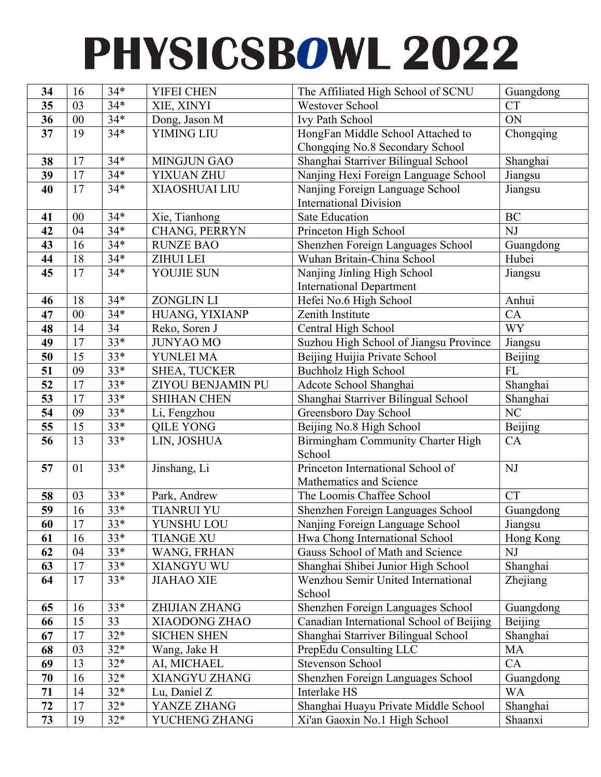| 34 | 16       | $34*$            | YIFEI CHEN                  | The Affiliated High School of SCNU         | Guangdong      |
|----|----------|------------------|-----------------------------|--------------------------------------------|----------------|
| 35 | 03       | $34*$            | XIE, XINYI                  | <b>Westover School</b>                     | <b>CT</b>      |
| 36 | $00\,$   | $34*$            | Dong, Jason M               | Ivy Path School                            | ON             |
| 37 | 19       | $\overline{3}4*$ | <b>YIMING LIU</b>           | HongFan Middle School Attached to          | Chongqing      |
|    |          |                  |                             | Chongqing No.8 Secondary School            |                |
| 38 | 17       | $34*$            | <b>MINGJUN GAO</b>          | Shanghai Starriver Bilingual School        | Shanghai       |
| 39 | 17       | $34*$            | YIXUAN ZHU                  | Nanjing Hexi Foreign Language School       | Jiangsu        |
| 40 | 17       | $34*$            | <b>XIAOSHUAI LIU</b>        | Nanjing Foreign Language School            | Jiangsu        |
|    |          |                  |                             | <b>International Division</b>              |                |
| 41 | 00       | $34*$            | Xie, Tianhong               | <b>Sate Education</b>                      | <b>BC</b>      |
| 42 | 04       | $34*$            | CHANG, PERRYN               | Princeton High School                      | NJ             |
| 43 | 16       | $34*$            | <b>RUNZE BAO</b>            | Shenzhen Foreign Languages School          | Guangdong      |
| 44 | 18       | $34*$            | <b>ZIHUI LEI</b>            | Wuhan Britain-China School                 | Hubei          |
| 45 | 17       | $34*$            | YOUJIE SUN                  | Nanjing Jinling High School                | Jiangsu        |
|    |          |                  |                             | <b>International Department</b>            |                |
| 46 | 18       | $34*$            | <b>ZONGLIN LI</b>           | Hefei No.6 High School                     | Anhui          |
| 47 | 00       | $34*$            | HUANG, YIXIANP              | Zenith Institute                           | CA             |
| 48 | 14       | 34               | Reko, Soren J               | Central High School                        | <b>WY</b>      |
| 49 | 17       | $33*$            | <b>JUNYAO MO</b>            | Suzhou High School of Jiangsu Province     | Jiangsu        |
| 50 | 15       | $33*$            | YUNLEI MA                   | Beijing Huijia Private School              | Beijing        |
| 51 | 09       | $33*$            | <b>SHEA, TUCKER</b>         | <b>Buchholz High School</b>                | <b>FL</b>      |
| 52 | 17       | $33*$            | ZIYOU BENJAMIN PU           | Adcote School Shanghai                     | Shanghai       |
| 53 | 17       | $33*$            | <b>SHIHAN CHEN</b>          | Shanghai Starriver Bilingual School        | Shanghai       |
| 54 | 09       | $33*$            | Li, Fengzhou                | Greensboro Day School                      | NC             |
| 55 | 15       | $33*$            | <b>QILE YONG</b>            | Beijing No.8 High School                   | Beijing        |
| 56 | 13       | $33*$            | LIN, JOSHUA                 | Birmingham Community Charter High          | CA             |
|    |          |                  |                             | School                                     |                |
| 57 | 01       | $33*$            | Jinshang, Li                | Princeton International School of          | NJ             |
|    |          |                  |                             | Mathematics and Science                    |                |
| 58 | 03       | $33*$            | Park, Andrew                | The Loomis Chaffee School                  | <b>CT</b>      |
| 59 | 16       | $33*$            | <b>TIANRUI YU</b>           | Shenzhen Foreign Languages School          | Guangdong      |
| 60 | 17       | $33*$            | YUNSHU LOU                  | Nanjing Foreign Language School            | Jiangsu        |
| 61 | 16       | $33*$            | <b>TIANGE XU</b>            | Hwa Chong International School             | Hong Kong      |
| 62 | 04       | $33*$            | WANG, FRHAN                 | Gauss School of Math and Science           | NJ             |
| 63 | 17       | $33*$            | XIANGYU WU                  | Shanghai Shibei Junior High School         | Shanghai       |
| 64 | 17       | $33*$            | <b>JIAHAO XIE</b>           | <b>Wenzhou Semir United International</b>  | Zhejiang       |
|    |          |                  |                             | School                                     |                |
| 65 | 16       | $33*$            | <b>ZHIJIAN ZHANG</b>        | Shenzhen Foreign Languages School          | Guangdong      |
| 66 | 15       | 33               | XIAODONG ZHAO               | Canadian International School of Beijing   | <b>Beijing</b> |
| 67 | 17       | $32*$<br>$32*$   | <b>SICHEN SHEN</b>          | Shanghai Starriver Bilingual School        | Shanghai       |
| 68 | 03<br>13 | $32*$            | Wang, Jake H                | PrepEdu Consulting LLC<br>Stevenson School | MA             |
| 69 |          | $32*$            | AI, MICHAEL                 |                                            | CA             |
| 70 | 16       | $32*$            | XIANGYU ZHANG               | Shenzhen Foreign Languages School          | Guangdong      |
| 71 | 14<br>17 | $32*$            | Lu, Daniel Z<br>YANZE ZHANG | Interlake HS                               | <b>WA</b>      |
| 72 |          |                  |                             | Shanghai Huayu Private Middle School       | Shanghai       |
| 73 | 19       | $32*$            | YUCHENG ZHANG               | Xi'an Gaoxin No.1 High School              | Shaanxi        |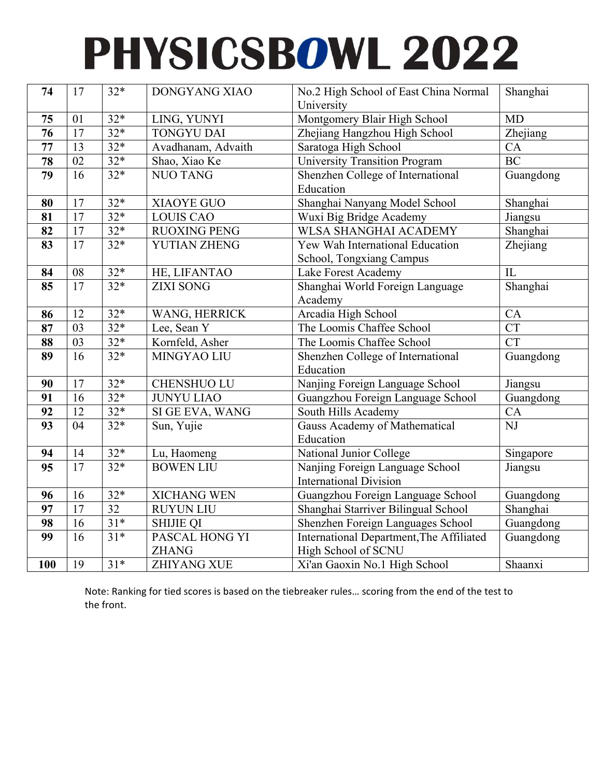| 74                         | 17              | $32*$            | DONGYANG XIAO       | No.2 High School of East China Normal<br>University | Shanghai               |
|----------------------------|-----------------|------------------|---------------------|-----------------------------------------------------|------------------------|
| 75                         | 01              | $32*$            | LING, YUNYI         | Montgomery Blair High School                        | <b>MD</b>              |
| $\overline{76}$            | 17              | $32*$            | <b>TONGYU DAI</b>   | Zhejiang Hangzhou High School                       | Zhejiang               |
| $\overline{77}$            | $\overline{13}$ | $32*$            | Avadhanam, Advaith  | Saratoga High School                                | CA                     |
| 78                         | 02              | $32*$            | Shao, Xiao Ke       | University Transition Program                       | <b>BC</b>              |
| 79                         | 16              | $32*$            | <b>NUO TANG</b>     | Shenzhen College of International                   | Guangdong              |
|                            |                 |                  |                     | Education                                           |                        |
| 80                         | 17              | $32*$            | <b>XIAOYE GUO</b>   | Shanghai Nanyang Model School                       | Shanghai               |
| 81                         | 17              | $32*$            | <b>LOUIS CAO</b>    | Wuxi Big Bridge Academy                             | Jiangsu                |
| 82                         | 17              | $32*$            | <b>RUOXING PENG</b> | <b>WLSA SHANGHAI ACADEMY</b>                        | Shanghai               |
| $\overline{\textbf{83}}$   | $\overline{17}$ | $32*$            | YUTIAN ZHENG        | Yew Wah International Education                     | Zhejiang               |
|                            |                 |                  |                     | School, Tongxiang Campus                            |                        |
| 84                         | 08              | $32*$            | HE, LIFANTAO        | Lake Forest Academy                                 | IL                     |
| 85                         | 17              | $32*$            | <b>ZIXI SONG</b>    | Shanghai World Foreign Language                     | Shanghai               |
|                            |                 |                  |                     | Academy                                             |                        |
| 86                         | 12              | $32*$            | WANG, HERRICK       | Arcadia High School                                 | CA                     |
| 87                         | 03              | $32*$            | Lee, Sean Y         | The Loomis Chaffee School                           | CT                     |
| 88                         | 03              | $\frac{1}{32}$ * | Kornfeld, Asher     | The Loomis Chaffee School                           | CT                     |
| $\overline{\overline{89}}$ | $\overline{16}$ | $32*$            | MINGYAO LIU         | Shenzhen College of International                   | Guangdong              |
|                            |                 |                  |                     | Education                                           |                        |
| 90                         | 17              | $32*$            | <b>CHENSHUO LU</b>  | Nanjing Foreign Language School                     | Jiangsu                |
| 91                         | 16              | $32*$            | <b>JUNYU LIAO</b>   | Guangzhou Foreign Language School                   | Guangdong              |
| 92                         | $\overline{12}$ | $32*$            | SI GE EVA, WANG     | South Hills Academy                                 | CA                     |
| $\overline{93}$            | 04              | $32*$            | Sun, Yujie          | Gauss Academy of Mathematical                       | $\overline{\text{NJ}}$ |
|                            |                 |                  |                     | Education                                           |                        |
| 94                         | 14              | $32*$            | Lu, Haomeng         | National Junior College                             | Singapore              |
| $\overline{95}$            | $\overline{17}$ | $32*$            | <b>BOWEN LIU</b>    | Nanjing Foreign Language School                     | Jiangsu                |
|                            |                 |                  |                     | <b>International Division</b>                       |                        |
| 96                         | 16              | $32*$            | <b>XICHANG WEN</b>  | Guangzhou Foreign Language School                   | Guangdong              |
| 97                         | 17              | $\overline{32}$  | <b>RUYUN LIU</b>    | Shanghai Starriver Bilingual School                 | Shanghai               |
| 98                         | 16              | $31*$            | <b>SHIJIE QI</b>    | Shenzhen Foreign Languages School                   | Guangdong              |
| 99                         | 16              | $31*$            | PASCAL HONG YI      | International Department, The Affiliated            | Guangdong              |
|                            |                 |                  | <b>ZHANG</b>        | High School of SCNU                                 |                        |
| 100                        | 19              | $31*$            | <b>ZHIYANG XUE</b>  | Xi'an Gaoxin No.1 High School                       | Shaanxi                |

Note: Ranking for tied scores is based on the tiebreaker rules… scoring from the end of the test to the front.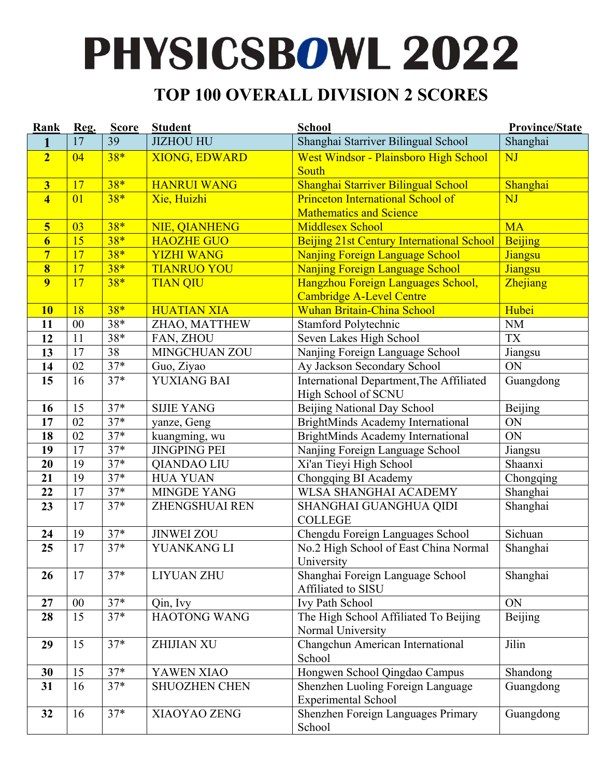#### **TOP 100 OVERALL DIVISION 2 SCORES**

| Rank                    | Reg. | <b>Score</b> | <b>Student</b>        | <b>School</b>                                  | <b>Province/State</b> |
|-------------------------|------|--------------|-----------------------|------------------------------------------------|-----------------------|
| 1                       | 17   | 39           | <b>JIZHOU HU</b>      | Shanghai Starriver Bilingual School            | Shanghai              |
| $\overline{2}$          | 04   | $38*$        | <b>XIONG, EDWARD</b>  | West Windsor - Plainsboro High School<br>South | NJ                    |
| $\overline{\mathbf{3}}$ | 17   | $38*$        | <b>HANRUI WANG</b>    | Shanghai Starriver Bilingual School            | Shanghai              |
| $\overline{4}$          | 01   | $38*$        | Xie, Huizhi           | <b>Princeton International School of</b>       | NJ                    |
|                         |      |              |                       | <b>Mathematics and Science</b>                 |                       |
| $\overline{\mathbf{5}}$ | 03   | $38*$        | NIE, QIANHENG         | <b>Middlesex School</b>                        | <b>MA</b>             |
| $\overline{6}$          | 15   | $38*$        | <b>HAOZHE GUO</b>     | Beijing 21st Century International School      | Beijing               |
| $\overline{7}$          | 17   | $38*$        | <b>YIZHI WANG</b>     | <b>Nanjing Foreign Language School</b>         | Jiangsu               |
| $\overline{\mathbf{8}}$ | 17   | $38*$        | <b>TIANRUO YOU</b>    | Nanjing Foreign Language School                | Jiangsu               |
| $\overline{9}$          | 17   | $38*$        | <b>TIAN QIU</b>       | Hangzhou Foreign Languages School,             | Zhejiang              |
|                         |      |              |                       | <b>Cambridge A-Level Centre</b>                |                       |
| <b>10</b>               | 18   | $38*$        | <b>HUATIAN XIA</b>    | <b>Wuhan Britain-China School</b>              | Hubei                 |
| 11                      | 00   | $38*$        | ZHAO, MATTHEW         | <b>Stamford Polytechnic</b>                    | <b>NM</b>             |
| 12                      | 11   | $38*$        | FAN, ZHOU             | Seven Lakes High School                        | <b>TX</b>             |
| 13                      | 17   | 38           | <b>MINGCHUAN ZOU</b>  | Nanjing Foreign Language School                | Jiangsu               |
| 14                      | 02   | $37*$        | Guo, Ziyao            | Ay Jackson Secondary School                    | ON                    |
| 15                      | 16   | $37*$        | YUXIANG BAI           | International Department, The Affiliated       | Guangdong             |
|                         |      |              |                       | High School of SCNU                            |                       |
| 16                      | 15   | $37*$        | <b>SIJIE YANG</b>     | Beijing National Day School                    | <b>Beijing</b>        |
| 17                      | 02   | $37*$        | yanze, Geng           | <b>BrightMinds Academy International</b>       | ON                    |
| 18                      | 02   | $37*$        | kuangming, wu         | BrightMinds Academy International              | ON                    |
| 19                      | 17   | $37*$        | <b>JINGPING PEI</b>   | Nanjing Foreign Language School                | Jiangsu               |
| 20                      | 19   | $37*$        | <b>QIANDAO LIU</b>    | Xi'an Tieyi High School                        | Shaanxi               |
| 21                      | 19   | $37*$        | <b>HUA YUAN</b>       | Chongqing BI Academy                           | Chongqing             |
| 22                      | 17   | $37*$        | <b>MINGDE YANG</b>    | WLSA SHANGHAI ACADEMY                          | Shanghai              |
| 23                      | 17   | $37*$        | <b>ZHENGSHUAI REN</b> | SHANGHAI GUANGHUA QIDI                         | Shanghai              |
|                         |      |              |                       | <b>COLLEGE</b>                                 |                       |
| 24                      | 19   | $37*$        | <b>JINWEI ZOU</b>     | Chengdu Foreign Languages School               | Sichuan               |
| 25                      | 17   | $37*$        | YUANKANG LI           | No.2 High School of East China Normal          | Shanghai              |
|                         |      |              |                       | University                                     |                       |
| 26                      | 17   | $37*$        | <b>LIYUAN ZHU</b>     | Shanghai Foreign Language School               | Shanghai              |
|                         |      |              |                       | Affiliated to SISU                             |                       |
| 27                      | 00   | $37*$        | Qin, Ivy              | Ivy Path School                                | ON                    |
| 28                      | 15   | $37*$        | HAOTONG WANG          | The High School Affiliated To Beijing          | Beijing               |
|                         |      | $37*$        |                       | Normal University                              | Jilin                 |
| 29                      | 15   |              | <b>ZHIJIAN XU</b>     | Changchun American International<br>School     |                       |
| 30                      | 15   | $37*$        | YAWEN XIAO            | Hongwen School Qingdao Campus                  | Shandong              |
| 31                      | 16   | $37*$        | <b>SHUOZHEN CHEN</b>  | Shenzhen Luoling Foreign Language              | Guangdong             |
|                         |      |              |                       | <b>Experimental School</b>                     |                       |
| 32                      | 16   | $37*$        | XIAOYAO ZENG          | Shenzhen Foreign Languages Primary             | Guangdong             |
|                         |      |              |                       | School                                         |                       |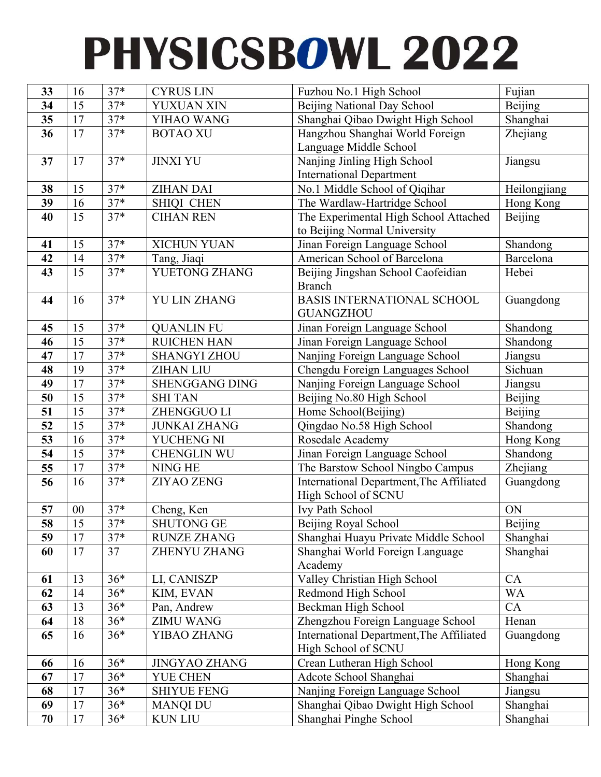| 33       | 16              | $37*$          | <b>CYRUS LIN</b>                        | Fuzhou No.1 High School                                   | Fujian              |
|----------|-----------------|----------------|-----------------------------------------|-----------------------------------------------------------|---------------------|
| 34       | 15              | $37*$          | YUXUAN XIN                              | Beijing National Day School                               | <b>Beijing</b>      |
| 35       | 17              | $37*$          | YIHAO WANG                              | Shanghai Qibao Dwight High School                         | Shanghai            |
| 36       | 17              | $37*$          | <b>BOTAO XU</b>                         | Hangzhou Shanghai World Foreign                           | Zhejiang            |
|          |                 |                |                                         | Language Middle School                                    |                     |
| 37       | 17              | $37*$          | <b>JINXI YU</b>                         | Nanjing Jinling High School                               | Jiangsu             |
|          |                 |                |                                         | <b>International Department</b>                           |                     |
| 38       | 15              | $\frac{1}{37}$ | <b>ZIHAN DAI</b>                        | No.1 Middle School of Qiqihar                             | Heilongjiang        |
| 39       | 16              | $37*$          | <b>SHIQI CHEN</b>                       | The Wardlaw-Hartridge School                              | Hong Kong           |
| 40       | $\overline{15}$ | $37*$          | <b>CIHAN REN</b>                        | The Experimental High School Attached                     | <b>Beijing</b>      |
|          |                 |                |                                         | to Beijing Normal University                              |                     |
| 41       | 15              | $37*$          | <b>XICHUN YUAN</b>                      | Jinan Foreign Language School                             | Shandong            |
| 42       | 14              | $37*$          | Tang, Jiaqi                             | American School of Barcelona                              | Barcelona           |
| 43       | 15              | $37*$          | YUETONG ZHANG                           | Beijing Jingshan School Caofeidian                        | Hebei               |
|          |                 |                |                                         | <b>Branch</b>                                             |                     |
| 44       | 16              | $37*$          | <b>YU LIN ZHANG</b>                     | BASIS INTERNATIONAL SCHOOL                                | Guangdong           |
|          |                 |                |                                         | <b>GUANGZHOU</b>                                          |                     |
| 45       | 15              | $37*$          | <b>QUANLIN FU</b>                       | Jinan Foreign Language School                             | Shandong            |
| 46       | 15              | $37*$          | <b>RUICHEN HAN</b>                      | Jinan Foreign Language School                             | Shandong            |
| 47       | 17              | $37*$          | <b>SHANGYI ZHOU</b>                     | Nanjing Foreign Language School                           | Jiangsu             |
| 48       | 19              | $37*$          | <b>ZIHAN LIU</b>                        | Chengdu Foreign Languages School                          | Sichuan             |
| 49       | 17              | $37*$          | <b>SHENGGANG DING</b>                   | Nanjing Foreign Language School                           | Jiangsu             |
| 50       | 15              | $37*$          | <b>SHI TAN</b>                          | Beijing No.80 High School                                 | <b>Beijing</b>      |
| 51       | 15              | $37*$          | ZHENGGUO LI                             | Home School(Beijing)                                      | Beijing             |
| 52       | $\overline{15}$ | $37*$          | <b>JUNKAI ZHANG</b>                     | Qingdao No.58 High School                                 | Shandong            |
| 53       | 16              | $37*$          | YUCHENG NI                              | Rosedale Academy                                          | Hong Kong           |
| 54       | 15              | $37*$          | CHENGLIN WU                             | Jinan Foreign Language School                             | Shandong            |
| 55       | 17              | $37*$          | NING HE                                 | The Barstow School Ningbo Campus                          | Zhejiang            |
| 56       | 16              | $37*$          | <b>ZIYAO ZENG</b>                       | International Department, The Affiliated                  | Guangdong           |
|          |                 |                |                                         | High School of SCNU                                       |                     |
| 57       | 00              | $37*$          | Cheng, Ken                              | Ivy Path School                                           | ON                  |
| 58       | 15              | $37*$          | SHUTONG GE                              | Beijing Royal School                                      | Beijing             |
| 59       | 17              | $37*$          | <b>RUNZE ZHANG</b>                      | Shanghai Huayu Private Middle School                      | Shanghai            |
| 60       | 17              | 37             | <b>ZHENYU ZHANG</b>                     | Shanghai World Foreign Language                           | Shanghai            |
|          |                 |                |                                         | Academy                                                   |                     |
| 61       | 13              | $36*$          | LI, CANISZP                             | Valley Christian High School                              | CA                  |
| 62       | 14              | $36*$          | KIM, EVAN                               | Redmond High School                                       | <b>WA</b>           |
| 63       | 13              | $36*$          | Pan, Andrew                             | Beckman High School                                       | CA                  |
| 64       | 18              | $36*$          | <b>ZIMU WANG</b>                        | Zhengzhou Foreign Language School                         | Henan               |
| 65       | 16              | $36*$          | YIBAO ZHANG                             | International Department, The Affiliated                  | Guangdong           |
|          |                 | $36*$          |                                         | High School of SCNU                                       |                     |
| 66       | 16<br>17        | $36*$          | <b>JINGYAO ZHANG</b><br><b>YUE CHEN</b> | Crean Lutheran High School                                | Hong Kong           |
| 67       | 17              | $36*$          | <b>SHIYUE FENG</b>                      | Adcote School Shanghai<br>Nanjing Foreign Language School | Shanghai<br>Jiangsu |
| 68<br>69 | 17              | $36*$          |                                         |                                                           |                     |
|          |                 |                | <b>MANQI DU</b>                         | Shanghai Qibao Dwight High School                         | Shanghai            |
| 70       | 17              | $36*$          | <b>KUN LIU</b>                          | Shanghai Pinghe School                                    | Shanghai            |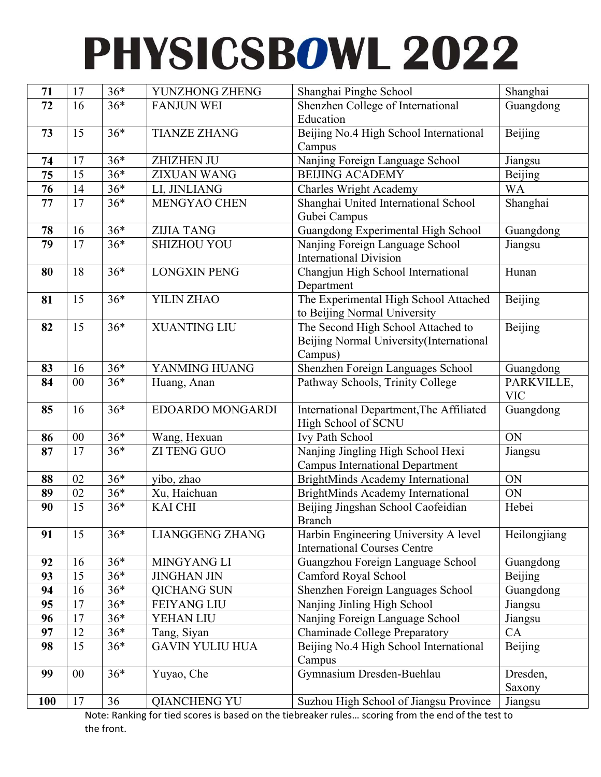| 71         | 17 | $36*$ | YUNZHONG ZHENG         | Shanghai Pinghe School                           | Shanghai     |
|------------|----|-------|------------------------|--------------------------------------------------|--------------|
| 72         | 16 | $36*$ | <b>FANJUN WEI</b>      | Shenzhen College of International                | Guangdong    |
|            |    |       |                        | Education                                        |              |
| 73         | 15 | $36*$ | <b>TIANZE ZHANG</b>    | Beijing No.4 High School International           | Beijing      |
|            |    |       |                        | Campus                                           |              |
| 74         | 17 | $36*$ | <b>ZHIZHEN JU</b>      | Nanjing Foreign Language School                  | Jiangsu      |
| 75         | 15 | $36*$ | <b>ZIXUAN WANG</b>     | <b>BEIJING ACADEMY</b>                           | Beijing      |
| 76         | 14 | $36*$ | LI, JINLIANG           | <b>Charles Wright Academy</b>                    | <b>WA</b>    |
| 77         | 17 | $36*$ | MENGYAO CHEN           | Shanghai United International School             | Shanghai     |
|            |    |       |                        | Gubei Campus                                     |              |
| 78         | 16 | $36*$ | <b>ZIJIA TANG</b>      | Guangdong Experimental High School               | Guangdong    |
| 79         | 17 | $36*$ | <b>SHIZHOU YOU</b>     | Nanjing Foreign Language School                  | Jiangsu      |
|            |    |       |                        | <b>International Division</b>                    |              |
| 80         | 18 | $36*$ | <b>LONGXIN PENG</b>    | Changjun High School International               | Hunan        |
|            |    |       |                        | Department                                       |              |
| 81         | 15 | $36*$ | YILIN ZHAO             | The Experimental High School Attached            | Beijing      |
|            |    |       |                        | to Beijing Normal University                     |              |
| 82         | 15 | $36*$ | <b>XUANTING LIU</b>    | The Second High School Attached to               | Beijing      |
|            |    |       |                        | Beijing Normal University (International         |              |
|            |    |       |                        | Campus)                                          |              |
| 83         | 16 | $36*$ | YANMING HUANG          | Shenzhen Foreign Languages School                | Guangdong    |
| 84         | 00 | $36*$ | Huang, Anan            | Pathway Schools, Trinity College                 | PARKVILLE,   |
|            |    |       |                        |                                                  | <b>VIC</b>   |
| 85         | 16 | $36*$ | EDOARDO MONGARDI       | International Department, The Affiliated         | Guangdong    |
|            |    |       |                        | High School of SCNU                              |              |
| 86         | 00 | $36*$ | Wang, Hexuan           | Ivy Path School                                  | ON           |
| 87         | 17 | $36*$ | <b>ZI TENG GUO</b>     | Nanjing Jingling High School Hexi                | Jiangsu      |
|            |    |       |                        | <b>Campus International Department</b>           |              |
| 88         | 02 | $36*$ | yibo, zhao             | BrightMinds Academy International                | ON           |
| 89         | 02 | $36*$ | Xu, Haichuan           | BrightMinds Academy International                | ON           |
| 90         | 15 | $36*$ | <b>KAI CHI</b>         | Beijing Jingshan School Caofeidian               | Hebei        |
|            |    |       |                        | Branch                                           |              |
| 91         | 15 | $36*$ | <b>LIANGGENG ZHANG</b> | Harbin Engineering University A level            | Heilongjiang |
|            |    |       |                        | <b>International Courses Centre</b>              |              |
| 92         | 16 | $36*$ | MINGYANG LI            | Guangzhou Foreign Language School                | Guangdong    |
| 93         | 15 | $36*$ | <b>JINGHAN JIN</b>     | Camford Royal School                             | Beijing      |
| 94         | 16 | $36*$ | <b>QICHANG SUN</b>     | Shenzhen Foreign Languages School                | Guangdong    |
| 95         | 17 | $36*$ | <b>FEIYANG LIU</b>     | Nanjing Jinling High School                      | Jiangsu      |
| 96         | 17 | $36*$ | YEHAN LIU              | Nanjing Foreign Language School                  | Jiangsu      |
| 97         | 12 | $36*$ | Tang, Siyan            | <b>Chaminade College Preparatory</b>             | CA           |
| 98         | 15 | $36*$ | <b>GAVIN YULIU HUA</b> | Beijing No.4 High School International<br>Campus | Beijing      |
| 99         | 00 | $36*$ | Yuyao, Che             | Gymnasium Dresden-Buehlau                        | Dresden,     |
|            |    |       |                        |                                                  | Saxony       |
| <b>100</b> | 17 | 36    | <b>QIANCHENG YU</b>    | Suzhou High School of Jiangsu Province           | Jiangsu      |

Note: Ranking for tied scores is based on the tiebreaker rules… scoring from the end of the test to the front.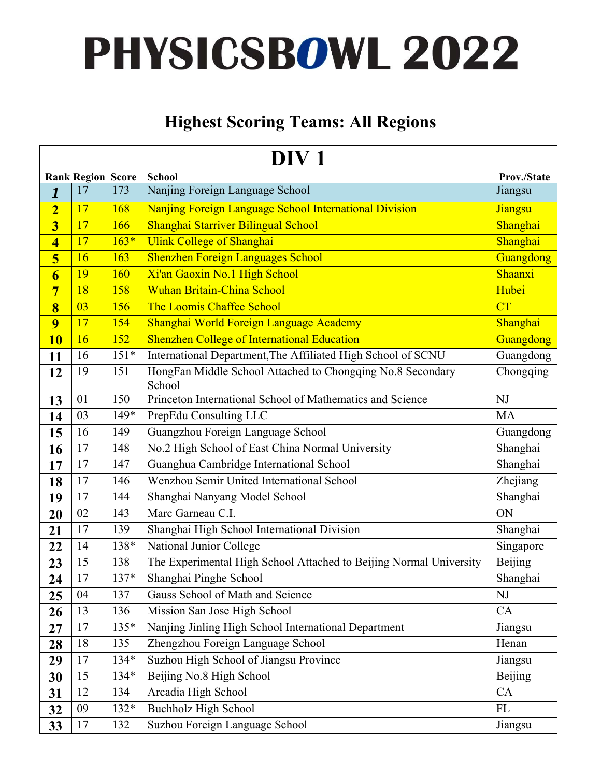#### **Highest Scoring Teams: All Regions**

| DIV <sub>1</sub>        |                          |        |                                                                      |             |  |  |
|-------------------------|--------------------------|--------|----------------------------------------------------------------------|-------------|--|--|
|                         | <b>Rank Region Score</b> |        | <b>School</b>                                                        | Prov./State |  |  |
| 1                       | 17                       | 173    | Nanjing Foreign Language School                                      | Jiangsu     |  |  |
| $\overline{2}$          | 17                       | 168    | Nanjing Foreign Language School International Division               | Jiangsu     |  |  |
| $\overline{\mathbf{3}}$ | 17                       | 166    | Shanghai Starriver Bilingual School                                  | Shanghai    |  |  |
| $\overline{\mathbf{4}}$ | 17                       | $163*$ | <b>Ulink College of Shanghai</b>                                     | Shanghai    |  |  |
| 5                       | 16                       | 163    | <b>Shenzhen Foreign Languages School</b>                             | Guangdong   |  |  |
| $\overline{\mathbf{6}}$ | 19                       | 160    | Xi'an Gaoxin No.1 High School                                        | Shaanxi     |  |  |
| $\overline{7}$          | 18                       | 158    | <b>Wuhan Britain-China School</b>                                    | Hubei       |  |  |
| 8                       | 03                       | 156    | The Loomis Chaffee School                                            | CT          |  |  |
| $\overline{9}$          | 17                       | 154    | Shanghai World Foreign Language Academy                              | Shanghai    |  |  |
| <b>10</b>               | 16                       | 152    | <b>Shenzhen College of International Education</b>                   | Guangdong   |  |  |
| 11                      | 16                       | $151*$ | International Department, The Affiliated High School of SCNU         | Guangdong   |  |  |
| 12                      | 19                       | 151    | HongFan Middle School Attached to Chongqing No.8 Secondary<br>School | Chongqing   |  |  |
| 13                      | 01                       | 150    | Princeton International School of Mathematics and Science            | NJ          |  |  |
| 14                      | 03                       | 149*   | PrepEdu Consulting LLC                                               | <b>MA</b>   |  |  |
| 15                      | 16                       | 149    | Guangzhou Foreign Language School                                    | Guangdong   |  |  |
| 16                      | 17                       | 148    | No.2 High School of East China Normal University                     | Shanghai    |  |  |
| 17                      | 17                       | 147    | Guanghua Cambridge International School                              | Shanghai    |  |  |
| 18                      | 17                       | 146    | Wenzhou Semir United International School                            | Zhejiang    |  |  |
| 19                      | 17                       | 144    | Shanghai Nanyang Model School                                        | Shanghai    |  |  |
| 20                      | 02                       | 143    | Marc Garneau C.I.                                                    | ON          |  |  |
| 21                      | 17                       | 139    | Shanghai High School International Division                          | Shanghai    |  |  |
| 22                      | 14                       | 138*   | National Junior College                                              | Singapore   |  |  |
| 23                      | 15                       | 138    | The Experimental High School Attached to Beijing Normal University   | Beijing     |  |  |
| 24                      | 17                       | $137*$ | Shanghai Pinghe School                                               | Shanghai    |  |  |
| 25                      | 04                       | 137    | Gauss School of Math and Science                                     | NJ          |  |  |
| 26                      | 13                       | 136    | Mission San Jose High School                                         | CA          |  |  |
| 27                      | 17                       | 135*   | Nanjing Jinling High School International Department                 | Jiangsu     |  |  |
| 28                      | 18                       | 135    | Zhengzhou Foreign Language School                                    | Henan       |  |  |
| 29                      | 17                       | 134*   | Suzhou High School of Jiangsu Province                               | Jiangsu     |  |  |
| 30                      | 15                       | 134*   | Beijing No.8 High School                                             | Beijing     |  |  |
| 31                      | 12                       | 134    | Arcadia High School                                                  | CA          |  |  |
| 32                      | 09                       | $132*$ | <b>Buchholz High School</b>                                          | FL          |  |  |
| 33                      | 17                       | 132    | Suzhou Foreign Language School                                       | Jiangsu     |  |  |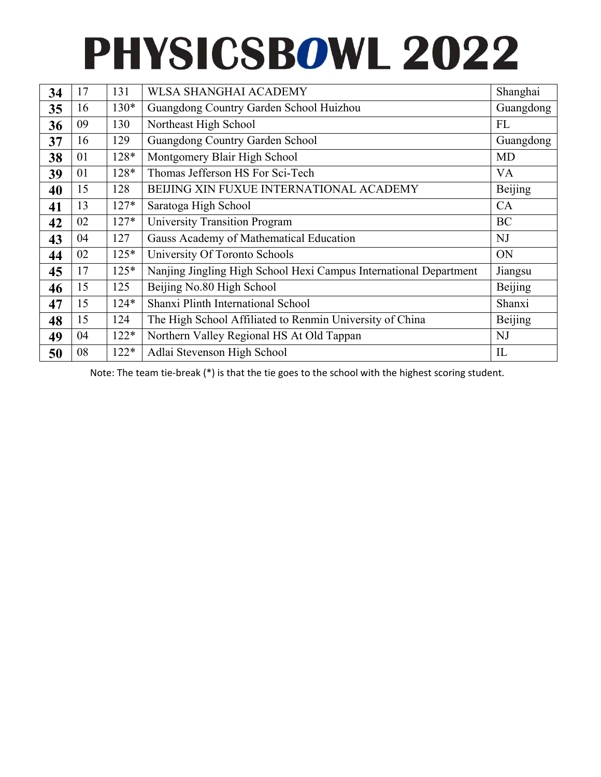| 34 | 17 | 131    | WLSA SHANGHAI ACADEMY                                             | Shanghai  |
|----|----|--------|-------------------------------------------------------------------|-----------|
| 35 | 16 | $130*$ | Guangdong Country Garden School Huizhou                           | Guangdong |
| 36 | 09 | 130    | Northeast High School                                             | FL        |
| 37 | 16 | 129    | Guangdong Country Garden School                                   | Guangdong |
| 38 | 01 | $128*$ | Montgomery Blair High School                                      | MD        |
| 39 | 01 | 128*   | Thomas Jefferson HS For Sci-Tech                                  | <b>VA</b> |
| 40 | 15 | 128    | <b>BEIJING XIN FUXUE INTERNATIONAL ACADEMY</b>                    | Beijing   |
| 41 | 13 | $127*$ | Saratoga High School                                              | CA        |
| 42 | 02 | $127*$ | University Transition Program                                     | <b>BC</b> |
| 43 | 04 | 127    | Gauss Academy of Mathematical Education                           | NJ        |
| 44 | 02 | $125*$ | University Of Toronto Schools                                     | ON        |
| 45 | 17 | $125*$ | Nanjing Jingling High School Hexi Campus International Department | Jiangsu   |
| 46 | 15 | 125    | Beijing No.80 High School                                         | Beijing   |
| 47 | 15 | $124*$ | Shanxi Plinth International School                                | Shanxi    |
| 48 | 15 | 124    | The High School Affiliated to Renmin University of China          | Beijing   |
| 49 | 04 | $122*$ | Northern Valley Regional HS At Old Tappan                         | <b>NJ</b> |
| 50 | 08 | $122*$ | Adlai Stevenson High School                                       | IL        |

Note: The team tie‐break (\*) is that the tie goes to the school with the highest scoring student.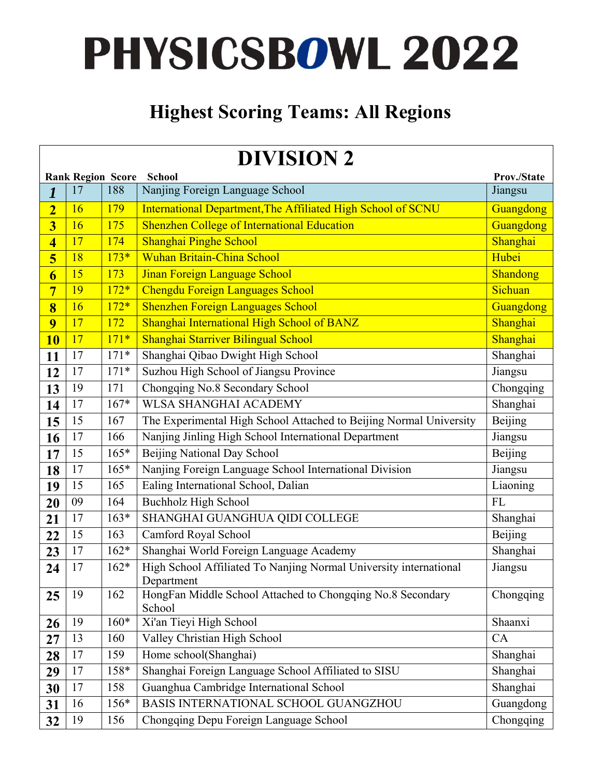#### **Highest Scoring Teams: All Regions**

|                         | <b>DIVISION 2</b>                                 |        |                                                                                 |           |  |  |  |  |
|-------------------------|---------------------------------------------------|--------|---------------------------------------------------------------------------------|-----------|--|--|--|--|
|                         | <b>Rank Region Score</b><br>School<br>Prov./State |        |                                                                                 |           |  |  |  |  |
| $\boldsymbol{l}$        | 17                                                | 188    | Nanjing Foreign Language School                                                 | Jiangsu   |  |  |  |  |
| $\overline{2}$          | 16                                                | 179    | International Department, The Affiliated High School of SCNU                    | Guangdong |  |  |  |  |
| $\overline{\mathbf{3}}$ | 16                                                | 175    | <b>Shenzhen College of International Education</b>                              | Guangdong |  |  |  |  |
| $\overline{\mathbf{4}}$ | 17                                                | 174    | Shanghai Pinghe School                                                          | Shanghai  |  |  |  |  |
| 5                       | 18                                                | $173*$ | Wuhan Britain-China School                                                      | Hubei     |  |  |  |  |
| $\overline{6}$          | 15                                                | 173    | Jinan Foreign Language School                                                   | Shandong  |  |  |  |  |
| $\overline{7}$          | 19                                                | $172*$ | <b>Chengdu Foreign Languages School</b>                                         | Sichuan   |  |  |  |  |
| 8                       | 16                                                | $172*$ | <b>Shenzhen Foreign Languages School</b>                                        | Guangdong |  |  |  |  |
| 9                       | 17                                                | 172    | Shanghai International High School of BANZ                                      | Shanghai  |  |  |  |  |
| <b>10</b>               | 17                                                | $171*$ | Shanghai Starriver Bilingual School                                             | Shanghai  |  |  |  |  |
| 11                      | 17                                                | $171*$ | Shanghai Qibao Dwight High School                                               | Shanghai  |  |  |  |  |
| 12                      | 17                                                | $171*$ | Suzhou High School of Jiangsu Province                                          | Jiangsu   |  |  |  |  |
| 13                      | 19                                                | 171    | Chongqing No.8 Secondary School                                                 | Chongqing |  |  |  |  |
| 14                      | 17                                                | $167*$ | <b>WLSA SHANGHAI ACADEMY</b>                                                    | Shanghai  |  |  |  |  |
| 15                      | 15                                                | 167    | The Experimental High School Attached to Beijing Normal University              | Beijing   |  |  |  |  |
| 16                      | 17                                                | 166    | Nanjing Jinling High School International Department                            | Jiangsu   |  |  |  |  |
| 17                      | 15                                                | $165*$ | Beijing National Day School                                                     | Beijing   |  |  |  |  |
| 18                      | 17                                                | $165*$ | Nanjing Foreign Language School International Division                          | Jiangsu   |  |  |  |  |
| 19                      | 15                                                | 165    | Ealing International School, Dalian                                             | Liaoning  |  |  |  |  |
| 20                      | 09                                                | 164    | <b>Buchholz High School</b>                                                     | FL        |  |  |  |  |
| 21                      | 17                                                | $163*$ | SHANGHAI GUANGHUA QIDI COLLEGE                                                  | Shanghai  |  |  |  |  |
| 22                      | 15                                                | 163    | Camford Royal School                                                            | Beijing   |  |  |  |  |
| 23                      | 17                                                | $162*$ | Shanghai World Foreign Language Academy                                         | Shanghai  |  |  |  |  |
| 24                      | 17                                                | $162*$ | High School Affiliated To Nanjing Normal University international<br>Department | Jiangsu   |  |  |  |  |
| 25                      | 19                                                | 162    | HongFan Middle School Attached to Chongqing No.8 Secondary<br>School            | Chongqing |  |  |  |  |
| 26                      | 19                                                | $160*$ | Xi'an Tieyi High School                                                         | Shaanxi   |  |  |  |  |
| 27                      | 13                                                | 160    | Valley Christian High School                                                    | CA        |  |  |  |  |
| 28                      | 17                                                | 159    | Home school(Shanghai)                                                           | Shanghai  |  |  |  |  |
| 29                      | 17                                                | 158*   | Shanghai Foreign Language School Affiliated to SISU                             | Shanghai  |  |  |  |  |
| 30                      | 17                                                | 158    | Guanghua Cambridge International School                                         | Shanghai  |  |  |  |  |
| 31                      | 16                                                | $156*$ | BASIS INTERNATIONAL SCHOOL GUANGZHOU                                            | Guangdong |  |  |  |  |
| 32                      | 19                                                | 156    | Chongqing Depu Foreign Language School                                          | Chongqing |  |  |  |  |